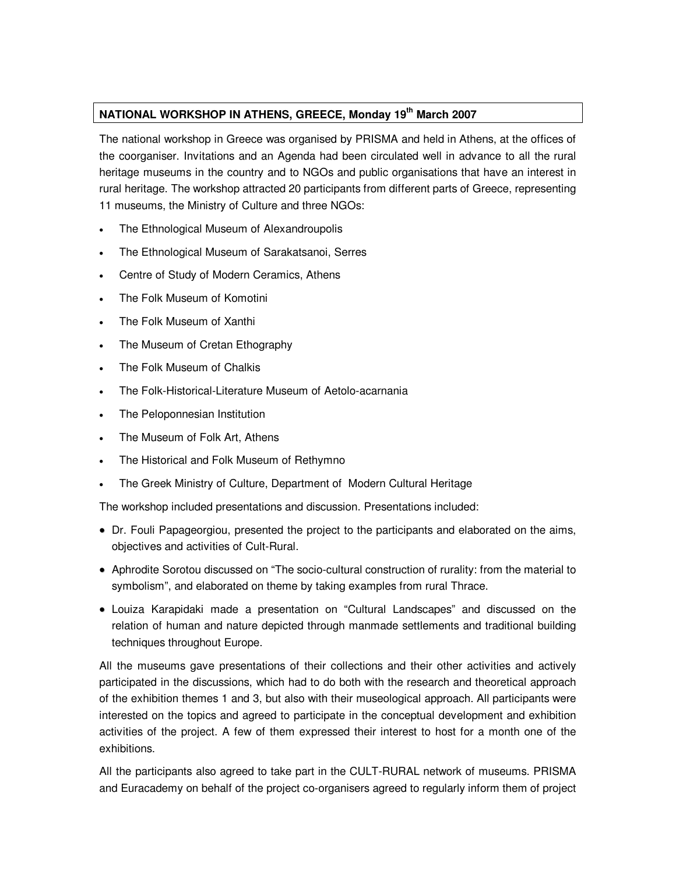## **NATIONAL WORKSHOP IN ATHENS, GREECE, Monday 19th March 2007**

The national workshop in Greece was organised by PRISMA and held in Athens, at the offices of the coorganiser. Invitations and an Agenda had been circulated well in advance to all the rural heritage museums in the country and to NGOs and public organisations that have an interest in rural heritage. The workshop attracted 20 participants from different parts of Greece, representing 11 museums, the Ministry of Culture and three NGOs:

- The Ethnological Museum of Alexandroupolis
- The Ethnological Museum of Sarakatsanoi, Serres
- Centre of Study of Modern Ceramics, Athens
- The Folk Museum of Komotini
- The Folk Museum of Xanthi
- The Museum of Cretan Ethography
- The Folk Museum of Chalkis
- The Folk-Historical-Literature Museum of Aetolo-acarnania
- The Peloponnesian Institution
- The Museum of Folk Art, Athens
- The Historical and Folk Museum of Rethymno
- The Greek Ministry of Culture, Department of Modern Cultural Heritage

The workshop included presentations and discussion. Presentations included:

- Dr. Fouli Papageorgiou, presented the project to the participants and elaborated on the aims, objectives and activities of Cult-Rural.
- Aphrodite Sorotou discussed on "The socio-cultural construction of rurality: from the material to symbolism", and elaborated on theme by taking examples from rural Thrace.
- Louiza Karapidaki made a presentation on "Cultural Landscapes" and discussed on the relation of human and nature depicted through manmade settlements and traditional building techniques throughout Europe.

All the museums gave presentations of their collections and their other activities and actively participated in the discussions, which had to do both with the research and theoretical approach of the exhibition themes 1 and 3, but also with their museological approach. All participants were interested on the topics and agreed to participate in the conceptual development and exhibition activities of the project. A few of them expressed their interest to host for a month one of the exhibitions.

All the participants also agreed to take part in the CULT-RURAL network of museums. PRISMA and Euracademy on behalf of the project co-organisers agreed to regularly inform them of project